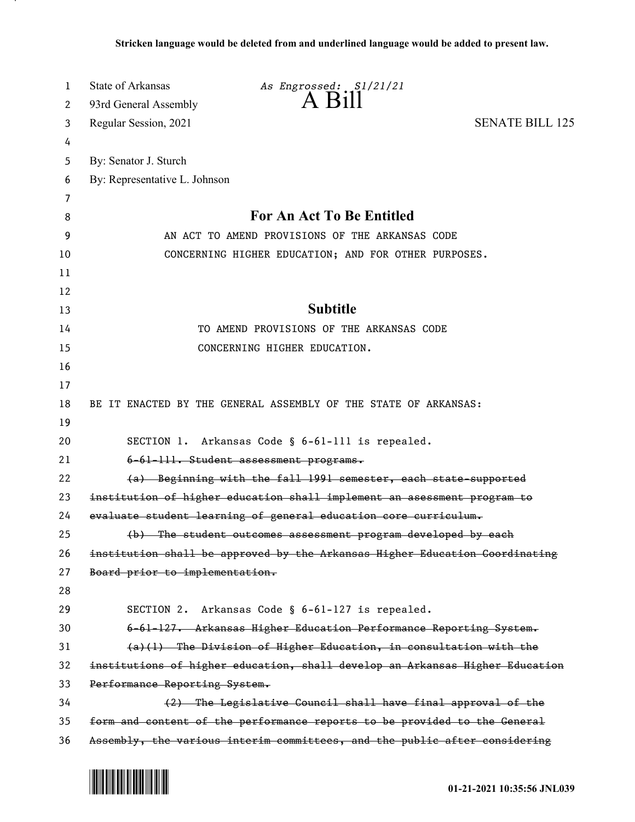| 1  | <b>State of Arkansas</b>                                                     | As Engrossed: S1/21/21                                                      |                        |
|----|------------------------------------------------------------------------------|-----------------------------------------------------------------------------|------------------------|
| 2  | 93rd General Assembly                                                        | $A$ $B$ <sub>1</sub> $\parallel$                                            |                        |
| 3  | Regular Session, 2021                                                        |                                                                             | <b>SENATE BILL 125</b> |
| 4  |                                                                              |                                                                             |                        |
| 5  | By: Senator J. Sturch                                                        |                                                                             |                        |
| 6  | By: Representative L. Johnson                                                |                                                                             |                        |
| 7  |                                                                              |                                                                             |                        |
| 8  |                                                                              | For An Act To Be Entitled                                                   |                        |
| 9  | AN ACT TO AMEND PROVISIONS OF THE ARKANSAS CODE                              |                                                                             |                        |
| 10 |                                                                              | CONCERNING HIGHER EDUCATION; AND FOR OTHER PURPOSES.                        |                        |
| 11 |                                                                              |                                                                             |                        |
| 12 |                                                                              |                                                                             |                        |
| 13 |                                                                              | <b>Subtitle</b>                                                             |                        |
| 14 |                                                                              | TO AMEND PROVISIONS OF THE ARKANSAS CODE                                    |                        |
| 15 |                                                                              | CONCERNING HIGHER EDUCATION.                                                |                        |
| 16 |                                                                              |                                                                             |                        |
| 17 |                                                                              |                                                                             |                        |
| 18 |                                                                              | BE IT ENACTED BY THE GENERAL ASSEMBLY OF THE STATE OF ARKANSAS:             |                        |
| 19 |                                                                              |                                                                             |                        |
| 20 | SECTION 1. Arkansas Code § 6-61-111 is repealed.                             |                                                                             |                        |
| 21 |                                                                              | 6-61-111. Student assessment programs.                                      |                        |
| 22 |                                                                              | (a) Beginning with the fall 1991 semester, each state-supported             |                        |
| 23 | institution of higher education shall implement an asessment program to      |                                                                             |                        |
| 24 |                                                                              | evaluate student learning of general education core curriculum.             |                        |
| 25 |                                                                              | (b) The student outcomes assessment program developed by each               |                        |
| 26 |                                                                              | institution shall be approved by the Arkansas Higher Education Goordinating |                        |
| 27 | Board prior to implementation.                                               |                                                                             |                        |
| 28 |                                                                              |                                                                             |                        |
| 29 | SECTION 2.                                                                   | Arkansas Code § 6-61-127 is repealed.                                       |                        |
| 30 |                                                                              | 6-61-127. Arkansas Higher Education Performance Reporting System.           |                        |
| 31 |                                                                              | $(a)$ (1) The Division of Higher Education, in consultation with the        |                        |
| 32 | institutions of higher education, shall develop an Arkansas Higher Education |                                                                             |                        |
| 33 | Performance Reporting System.                                                |                                                                             |                        |
| 34 |                                                                              | (2) The Legislative Council shall have final approval of the                |                        |
| 35 | form and content of the performance reports to be provided to the General    |                                                                             |                        |
| 36 | Assembly, the various interim committees, and the public after considering   |                                                                             |                        |

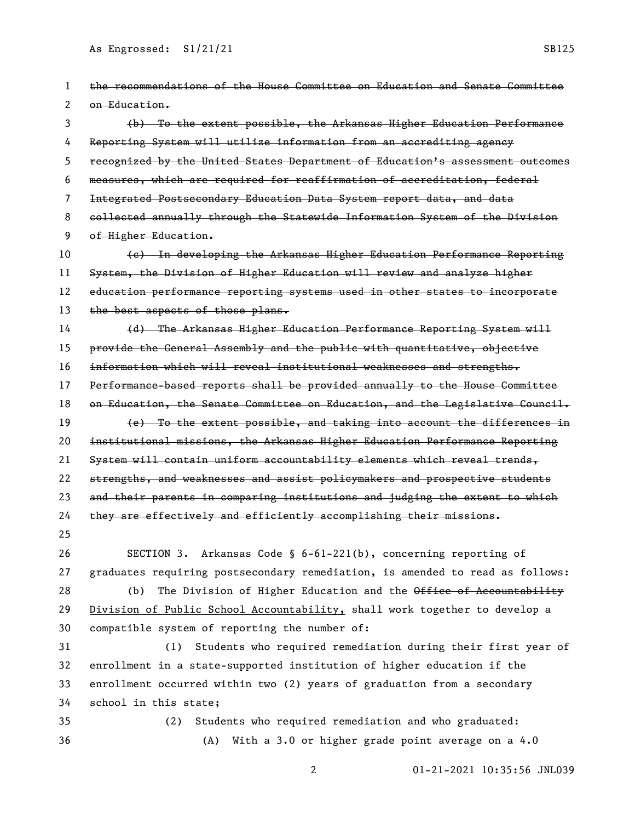| 1  | the recommendations of the House Committee on Education and Senate Committee  |  |
|----|-------------------------------------------------------------------------------|--|
| 2  | on Education.                                                                 |  |
| 3  | (b) To the extent possible, the Arkansas Higher Education Performance         |  |
| 4  | Reporting System will utilize information from an accrediting agency          |  |
| 5. | recognized by the United States Department of Education's assessment outcomes |  |
| 6  | measures, which are required for reaffirmation of accreditation, federal      |  |
| 7  | Integrated Postsecondary Education Data System report data, and data          |  |
| 8  | collected annually through the Statewide Information System of the Division   |  |
| 9  | of Higher Education.                                                          |  |
| 10 | (e) In developing the Arkansas Higher Education Performance Reporting         |  |
| 11 | System, the Division of Higher Education will review and analyze higher       |  |
| 12 | education performance reporting systems used in other states to incorporate   |  |
| 13 | the best aspects of those plans.                                              |  |
| 14 | (d) The Arkansas Higher Education Performance Reporting System will           |  |
| 15 | provide the General Assembly and the public with quantitative, objective      |  |
| 16 | information which will reveal institutional weaknesses and strengths.         |  |
| 17 | Performance-based reports shall be provided annually to the House Committee   |  |
| 18 | on Education, the Senate Committee on Education, and the Legislative Council. |  |
| 19 | (e) To the extent possible, and taking into account the differences in        |  |
| 20 | institutional missions, the Arkansas Higher Education Performance Reporting   |  |
| 21 | System will contain uniform accountability elements which reveal trends,      |  |
| 22 | strengths, and weaknesses and assist policymakers and prospective students    |  |
| 23 | and their parents in comparing institutions and judging the extent to which   |  |
| 24 | they are effectively and efficiently accomplishing their missions.            |  |
| 25 |                                                                               |  |
| 26 | SECTION 3. Arkansas Code § $6-61-221(b)$ , concerning reporting of            |  |
| 27 | graduates requiring postsecondary remediation, is amended to read as follows: |  |
| 28 | The Division of Higher Education and the Office of Accountability<br>(b)      |  |
| 29 | Division of Public School Accountability, shall work together to develop a    |  |
| 30 | compatible system of reporting the number of:                                 |  |
| 31 | Students who required remediation during their first year of<br>(1)           |  |
| 32 | enrollment in a state-supported institution of higher education if the        |  |
| 33 | enrollment occurred within two (2) years of graduation from a secondary       |  |
| 34 | school in this state;                                                         |  |
| 35 | Students who required remediation and who graduated:<br>(2)                   |  |
| 36 | With a 3.0 or higher grade point average on a 4.0<br>(A)                      |  |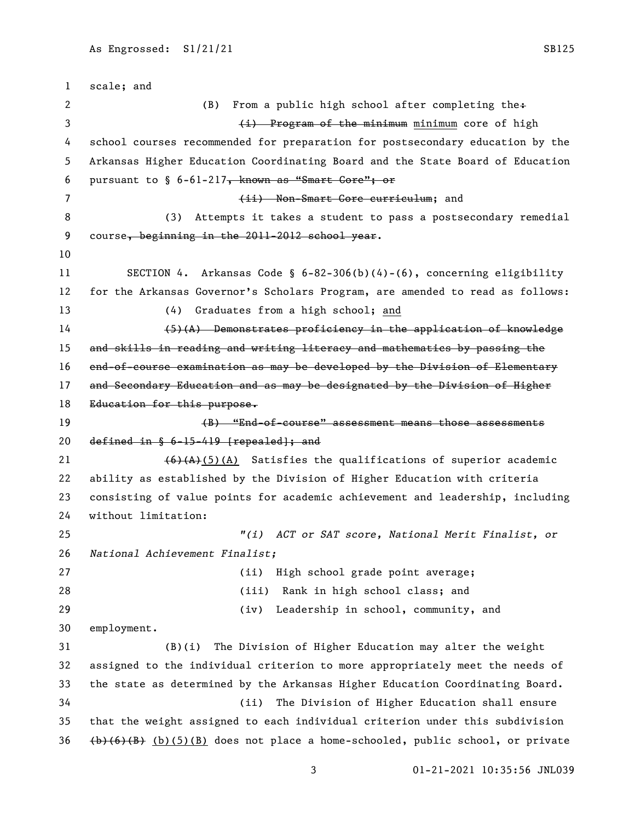scale; and 2 (B) From a public high school after completing the+ (i) Program of the minimum minimum core of high school courses recommended for preparation for postsecondary education by the Arkansas Higher Education Coordinating Board and the State Board of Education 6 pursuant to  $\S$  6-61-217, known as "Smart Core"; or 7 (ii) Non-Smart Core curriculum; and (3) Attempts it takes a student to pass a postsecondary remedial 9 course, beginning in the 2011-2012 school year. SECTION 4. Arkansas Code § 6-82-306(b)(4)-(6), concerning eligibility for the Arkansas Governor's Scholars Program, are amended to read as follows: (4) Graduates from a high school; and (5)(A) Demonstrates proficiency in the application of knowledge 15 and skills in reading and writing literacy and mathematics by passing the end-of-course examination as may be developed by the Division of Elementary 17 and Secondary Education and as may be designated by the Division of Higher 18 Education for this purpose. (B) "End-of-course" assessment means those assessments 20 defined in  $§ 6-15-419$  [repealed]; and 21 (6)(A)(5)(A) Satisfies the qualifications of superior academic ability as established by the Division of Higher Education with criteria consisting of value points for academic achievement and leadership, including without limitation: *"(i) ACT or SAT score, National Merit Finalist, or National Achievement Finalist;* (ii) High school grade point average; (iii) Rank in high school class; and (iv) Leadership in school, community, and employment. (B)(i) The Division of Higher Education may alter the weight assigned to the individual criterion to more appropriately meet the needs of the state as determined by the Arkansas Higher Education Coordinating Board. (ii) The Division of Higher Education shall ensure that the weight assigned to each individual criterion under this subdivision  $(\frac{\mathbf{b}}{6}, \frac{\mathbf{c}}{8})$  (b)(5)(B) does not place a home-schooled, public school, or private

01-21-2021 10:35:56 JNL039